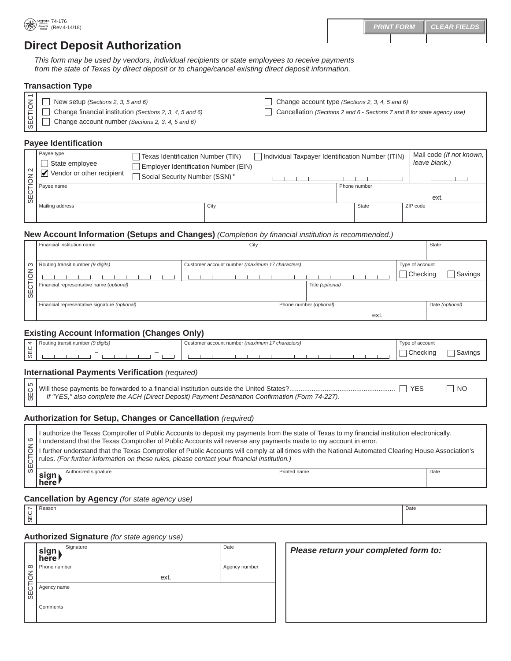# **Direct Deposit Authorization**

*This form may be used by vendors, individual recipients or state employees to receive payments from the state of Texas by direct deposit or to change/cancel existing direct deposit information.* 

#### **Transaction Type**

| $\boxed{z}$ $\boxed{ }$ New setup (Sections 2, 3, 5 and 6)<br>$\left \begin{array}{cc} 2 \\ \end{array}\right $ Change financial institution (Sections 2, 3, 4, 5 and 6) | Change account type (Sections 2, 3, 4, 5 and 6)<br>Cancellation (Sections 2 and 6 - Sections 7 and 8 for state agency use) |
|--------------------------------------------------------------------------------------------------------------------------------------------------------------------------|----------------------------------------------------------------------------------------------------------------------------|
| $\begin{bmatrix} 0 \\ 0 \\ 0 \end{bmatrix}$ $\Box$ Change account number (Sections 2, 3, 4, 5 and 6)                                                                     |                                                                                                                            |

## **Payee Identification**

| l N | Payee type<br>State employee<br>Vendor or other recipient<br>M | Texas Identification Number (TIN)<br>Employer Identification Number (EIN)<br>Social Security Number (SSN)* |  |  |              | Individual Taxpayer Identification Number (ITIN) | Mail code (If not known,<br>leave blank.) |
|-----|----------------------------------------------------------------|------------------------------------------------------------------------------------------------------------|--|--|--------------|--------------------------------------------------|-------------------------------------------|
|     |                                                                |                                                                                                            |  |  |              | Phone number                                     | ext.                                      |
|     | Mailing address                                                | City                                                                                                       |  |  | <b>State</b> | ZIP code                                         |                                           |

## **New Account Information (Setups and Changes)** *(Completion by financial institution is recommended.)*

|                                 | Financial institution name                                                           |  | City |  |                         |                 | State           |
|---------------------------------|--------------------------------------------------------------------------------------|--|------|--|-------------------------|-----------------|-----------------|
|                                 |                                                                                      |  |      |  |                         |                 |                 |
| ၊ က                             | Routing transit number (9 digits)<br>Customer account number (maximum 17 characters) |  |      |  | Type of account         |                 |                 |
| $\overline{\widetilde{\Theta}}$ | -                                                                                    |  |      |  |                         | $\Box$ Checking | Savings         |
| <b>SECT</b>                     | Financial representative name (optional)                                             |  |      |  | Title (optional)        |                 |                 |
|                                 |                                                                                      |  |      |  |                         |                 |                 |
|                                 | Financial representative signature (optional)                                        |  |      |  | Phone number (optional) |                 | Date (optional) |
|                                 |                                                                                      |  |      |  | ext.                    |                 |                 |

## **Existing Account Information (Changes Only)**

|            |                                   |                          | - -                                            |                             |  |
|------------|-----------------------------------|--------------------------|------------------------------------------------|-----------------------------|--|
|            | Routing transit number (9 digits) |                          | ustomer account number (maximum 17 characters) | of account<br>$\frac{1}{2}$ |  |
| ၊ ပ<br>  ₩ |                                   | $\overline{\phantom{m}}$ |                                                | .nokin<br>HUUNII            |  |
|            |                                   |                          |                                                |                             |  |

#### **International Payments Verification** *(required)* г ℸ

|                                                                                                                | $\Box$ NO |
|----------------------------------------------------------------------------------------------------------------|-----------|
|                                                                                                                |           |
| $\bigcup_{U}$ If "YES," also complete the ACH (Direct Deposit) Payment Destination Confirmation (Form 74-227). |           |
|                                                                                                                |           |

## **Authorization for Setup, Changes or Cancellation** *(required)*

| က<br>SEC.                           | If "YES," also complete the ACH (Direct Deposit) Payment Destination Confirmation (Form 74-227).                                                                                                                                                                                                                                                                                                                                                                                                                            |              | YES<br><b>NO</b> |  |  |  |
|-------------------------------------|-----------------------------------------------------------------------------------------------------------------------------------------------------------------------------------------------------------------------------------------------------------------------------------------------------------------------------------------------------------------------------------------------------------------------------------------------------------------------------------------------------------------------------|--------------|------------------|--|--|--|
|                                     | Authorization for Setup, Changes or Cancellation (required)                                                                                                                                                                                                                                                                                                                                                                                                                                                                 |              |                  |  |  |  |
| ဖ<br>$\overline{6}$<br><b>SECTI</b> | I authorize the Texas Comptroller of Public Accounts to deposit my payments from the state of Texas to my financial institution electronically.<br>I understand that the Texas Comptroller of Public Accounts will reverse any payments made to my account in error.<br>I further understand that the Texas Comptroller of Public Accounts will comply at all times with the National Automated Clearing House Association's<br>rules. (For further information on these rules, please contact your financial institution.) |              |                  |  |  |  |
|                                     | Authorized signature<br>sign<br>l here l                                                                                                                                                                                                                                                                                                                                                                                                                                                                                    | Printed name | Date             |  |  |  |
|                                     | <b>Cancellation by Agency</b> (for state agency use)                                                                                                                                                                                                                                                                                                                                                                                                                                                                        |              |                  |  |  |  |
|                                     | $\sim$ Reason                                                                                                                                                                                                                                                                                                                                                                                                                                                                                                               |              | Date             |  |  |  |

## **Cancellation by Agency** *(for state agency use)*

SEC 7

## **Authorized Signature** *(for state agency use)*

|    | Signature<br>sign<br><b>here</b> | Date          | Please return your completed form to: |
|----|----------------------------------|---------------|---------------------------------------|
|    | o   Phone number                 | Agency number |                                       |
| Ιš | ext.                             |               |                                       |
|    | U<br>Ш<br>∞                      |               |                                       |
|    |                                  |               |                                       |
|    | Comments                         |               |                                       |
|    |                                  |               |                                       |